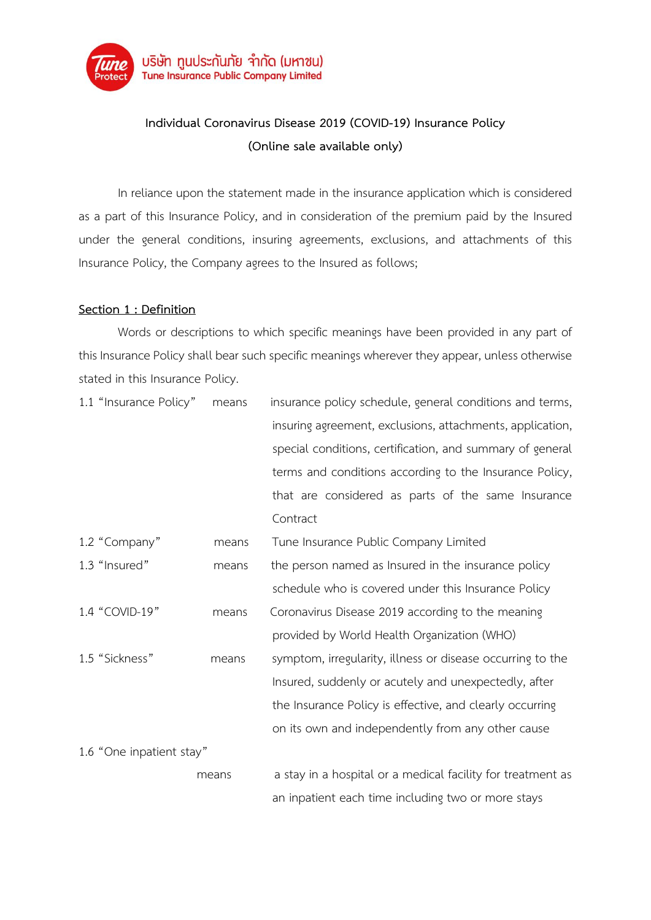

# **Individual Coronavirus Disease 2019 (COVID-19) Insurance Policy (Online sale available only)**

In reliance upon the statement made in the insurance application which is considered as a part of this Insurance Policy, and in consideration of the premium paid by the Insured under the general conditions, insuring agreements, exclusions, and attachments of this Insurance Policy, the Company agrees to the Insured as follows;

## **Section 1 : Definition**

Words or descriptions to which specific meanings have been provided in any part of this Insurance Policy shall bear such specific meanings wherever they appear, unless otherwise stated in this Insurance Policy.

| 1.1 "Insurance Policy"   | means | insurance policy schedule, general conditions and terms,    |
|--------------------------|-------|-------------------------------------------------------------|
|                          |       | insuring agreement, exclusions, attachments, application,   |
|                          |       | special conditions, certification, and summary of general   |
|                          |       | terms and conditions according to the Insurance Policy,     |
|                          |       | that are considered as parts of the same Insurance          |
|                          |       | Contract                                                    |
| 1.2 "Company"            | means | Tune Insurance Public Company Limited                       |
| 1.3 "Insured"            | means | the person named as Insured in the insurance policy         |
|                          |       | schedule who is covered under this Insurance Policy         |
| 1.4 "COVID-19"           | means | Coronavirus Disease 2019 according to the meaning           |
|                          |       | provided by World Health Organization (WHO)                 |
| 1.5 "Sickness"           | means | symptom, irregularity, illness or disease occurring to the  |
|                          |       | Insured, suddenly or acutely and unexpectedly, after        |
|                          |       | the Insurance Policy is effective, and clearly occurring    |
|                          |       | on its own and independently from any other cause           |
| 1.6 "One inpatient stay" |       |                                                             |
|                          | means | a stay in a hospital or a medical facility for treatment as |
|                          |       | an inpatient each time including two or more stays          |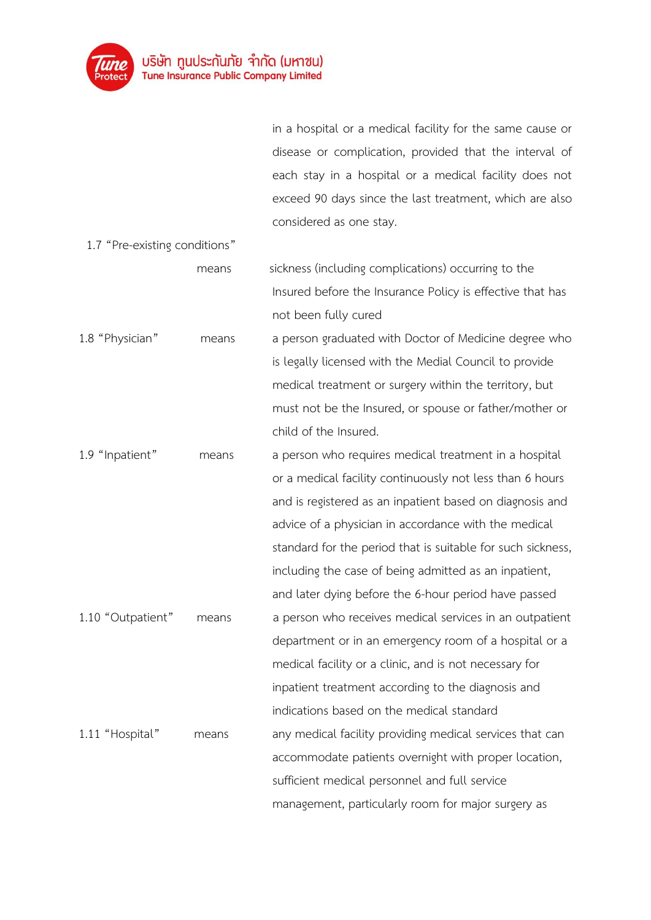

in a hospital or a medical facility for the same cause or disease or complication, provided that the interval of each stay in a hospital or a medical facility does not exceed 90 days since the last treatment, which are also considered as one stay.

| 1.7 "Pre-existing conditions" |       |                                                             |
|-------------------------------|-------|-------------------------------------------------------------|
|                               | means | sickness (including complications) occurring to the         |
|                               |       | Insured before the Insurance Policy is effective that has   |
|                               |       | not been fully cured                                        |
| 1.8 "Physician"               | means | a person graduated with Doctor of Medicine degree who       |
|                               |       | is legally licensed with the Medial Council to provide      |
|                               |       | medical treatment or surgery within the territory, but      |
|                               |       | must not be the Insured, or spouse or father/mother or      |
|                               |       | child of the Insured.                                       |
| 1.9 "Inpatient"               | means | a person who requires medical treatment in a hospital       |
|                               |       | or a medical facility continuously not less than 6 hours    |
|                               |       | and is registered as an inpatient based on diagnosis and    |
|                               |       | advice of a physician in accordance with the medical        |
|                               |       | standard for the period that is suitable for such sickness, |
|                               |       | including the case of being admitted as an inpatient,       |
|                               |       | and later dying before the 6-hour period have passed        |
| 1.10 "Outpatient"             | means | a person who receives medical services in an outpatient     |
|                               |       | department or in an emergency room of a hospital or a       |
|                               |       | medical facility or a clinic, and is not necessary for      |
|                               |       | inpatient treatment according to the diagnosis and          |
|                               |       | indications based on the medical standard                   |
| 1.11 "Hospital"               | means | any medical facility providing medical services that can    |
|                               |       | accommodate patients overnight with proper location,        |
|                               |       | sufficient medical personnel and full service               |
|                               |       | management, particularly room for major surgery as          |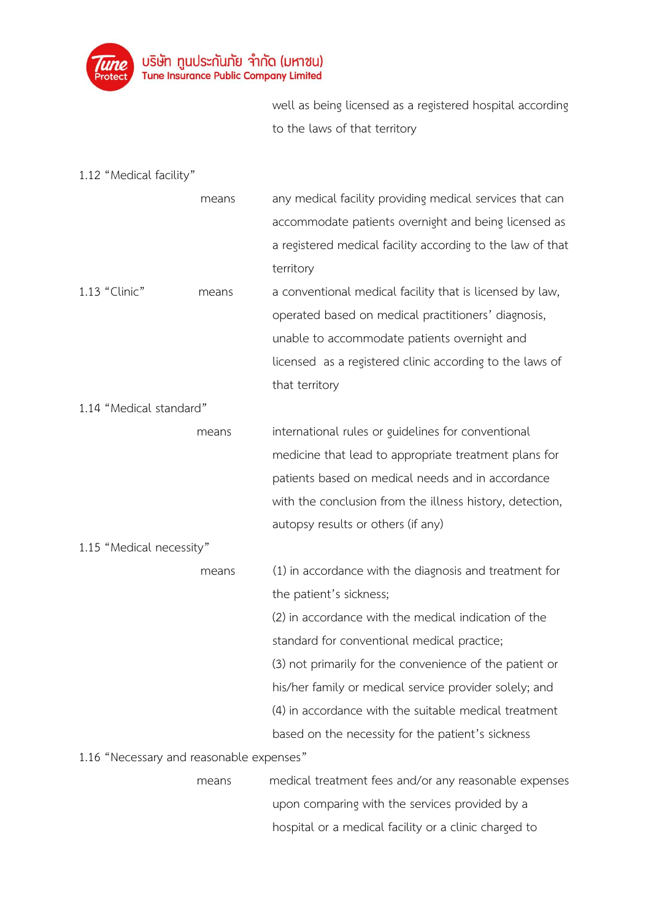

well as being licensed as a registered hospital according to the laws of that territory

1.12 "Medical facility"

|                                          | means | any medical facility providing medical services that can   |
|------------------------------------------|-------|------------------------------------------------------------|
|                                          |       | accommodate patients overnight and being licensed as       |
|                                          |       | a registered medical facility according to the law of that |
|                                          |       | territory                                                  |
| 1.13 "Clinic"                            | means | a conventional medical facility that is licensed by law,   |
|                                          |       | operated based on medical practitioners' diagnosis,        |
|                                          |       | unable to accommodate patients overnight and               |
|                                          |       | licensed as a registered clinic according to the laws of   |
|                                          |       | that territory                                             |
| 1.14 "Medical standard"                  |       |                                                            |
|                                          | means | international rules or guidelines for conventional         |
|                                          |       | medicine that lead to appropriate treatment plans for      |
|                                          |       | patients based on medical needs and in accordance          |
|                                          |       | with the conclusion from the illness history, detection,   |
|                                          |       | autopsy results or others (if any)                         |
| 1.15 "Medical necessity"                 |       |                                                            |
|                                          | means | (1) in accordance with the diagnosis and treatment for     |
|                                          |       | the patient's sickness;                                    |
|                                          |       | (2) in accordance with the medical indication of the       |
|                                          |       | standard for conventional medical practice;                |
|                                          |       | (3) not primarily for the convenience of the patient or    |
|                                          |       | his/her family or medical service provider solely; and     |
|                                          |       | (4) in accordance with the suitable medical treatment      |
|                                          |       | based on the necessity for the patient's sickness          |
| 1.16 "Necessary and reasonable expenses" |       |                                                            |

means medical treatment fees and/or any reasonable expenses upon comparing with the services provided by a hospital or a medical facility or a clinic charged to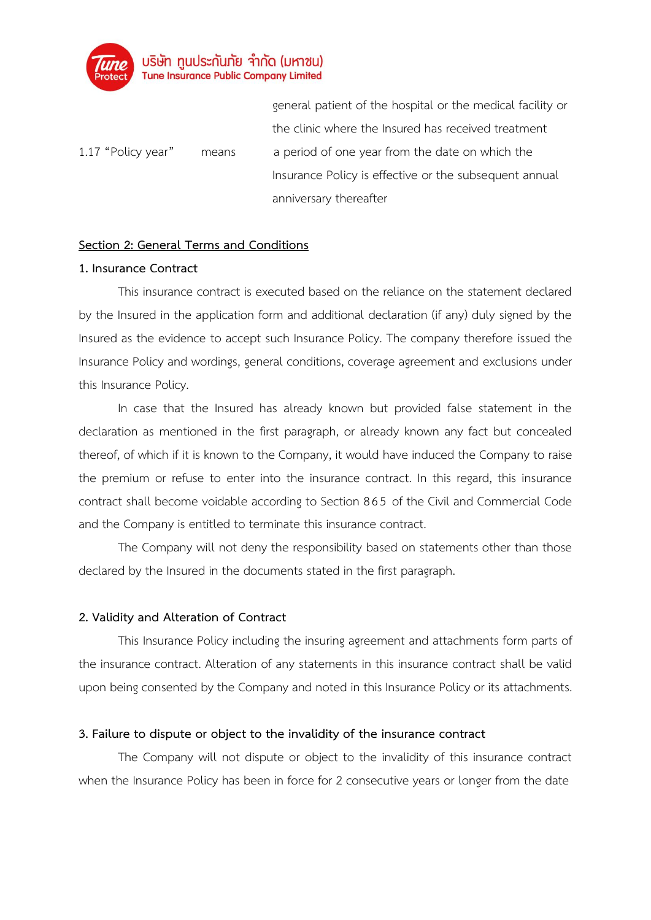

general patient of the hospital or the medical facility or the clinic where the Insured has received treatment 1.17 "Policy year" means a period of one year from the date on which the Insurance Policy is effective or the subsequent annual anniversary thereafter

### **Section 2: General Terms and Conditions**

#### **1. Insurance Contract**

This insurance contract is executed based on the reliance on the statement declared by the Insured in the application form and additional declaration (if any) duly signed by the Insured as the evidence to accept such Insurance Policy. The company therefore issued the Insurance Policy and wordings, general conditions, coverage agreement and exclusions under this Insurance Policy.

In case that the Insured has already known but provided false statement in the declaration as mentioned in the first paragraph, or already known any fact but concealed thereof, of which if it is known to the Company, it would have induced the Company to raise the premium or refuse to enter into the insurance contract. In this regard, this insurance contract shall become voidable according to Section 865 of the Civil and Commercial Code and the Company is entitled to terminate this insurance contract.

The Company will not deny the responsibility based on statements other than those declared by the Insured in the documents stated in the first paragraph.

## **2. Validity and Alteration of Contract**

This Insurance Policy including the insuring agreement and attachments form parts of the insurance contract. Alteration of any statements in this insurance contract shall be valid upon being consented by the Company and noted in this Insurance Policy or its attachments.

#### **3. Failure to dispute or object to the invalidity of the insurance contract**

The Company will not dispute or object to the invalidity of this insurance contract when the Insurance Policy has been in force for 2 consecutive years or longer from the date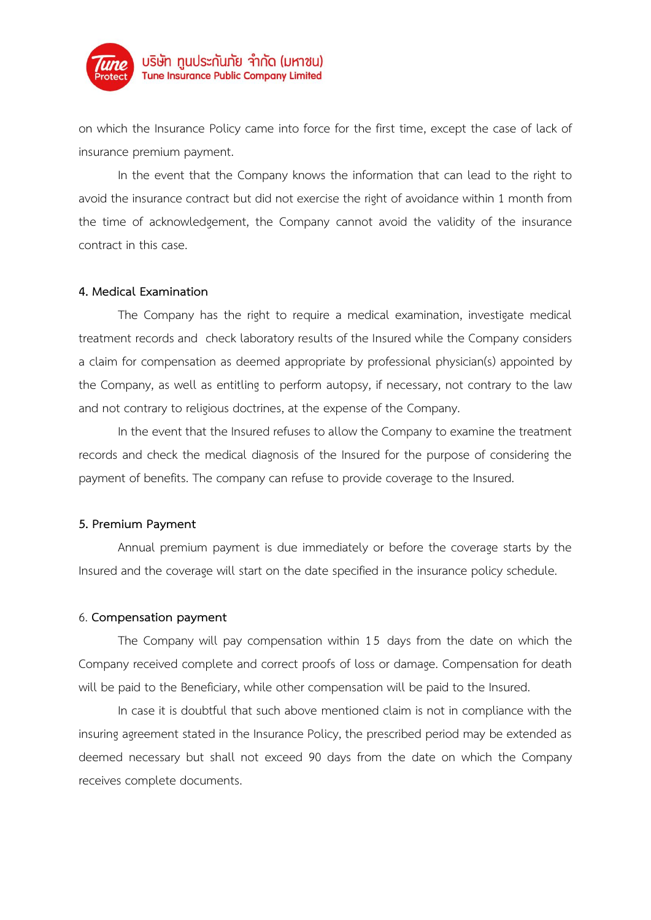

on which the Insurance Policy came into force for the first time, except the case of lack of insurance premium payment.

In the event that the Company knows the information that can lead to the right to avoid the insurance contract but did not exercise the right of avoidance within 1 month from the time of acknowledgement, the Company cannot avoid the validity of the insurance contract in this case.

#### **4. Medical Examination**

The Company has the right to require a medical examination, investigate medical treatment records and check laboratory results of the Insured while the Company considers a claim for compensation as deemed appropriate by professional physician(s) appointed by the Company, as well as entitling to perform autopsy, if necessary, not contrary to the law and not contrary to religious doctrines, at the expense of the Company.

In the event that the Insured refuses to allow the Company to examine the treatment records and check the medical diagnosis of the Insured for the purpose of considering the payment of benefits. The company can refuse to provide coverage to the Insured.

#### **5. Premium Payment**

Annual premium payment is due immediately or before the coverage starts by the Insured and the coverage will start on the date specified in the insurance policy schedule.

#### 6. **Compensation payment**

The Company will pay compensation within 15 days from the date on which the Company received complete and correct proofs of loss or damage. Compensation for death will be paid to the Beneficiary, while other compensation will be paid to the Insured.

In case it is doubtful that such above mentioned claim is not in compliance with the insuring agreement stated in the Insurance Policy, the prescribed period may be extended as deemed necessary but shall not exceed 90 days from the date on which the Company receives complete documents.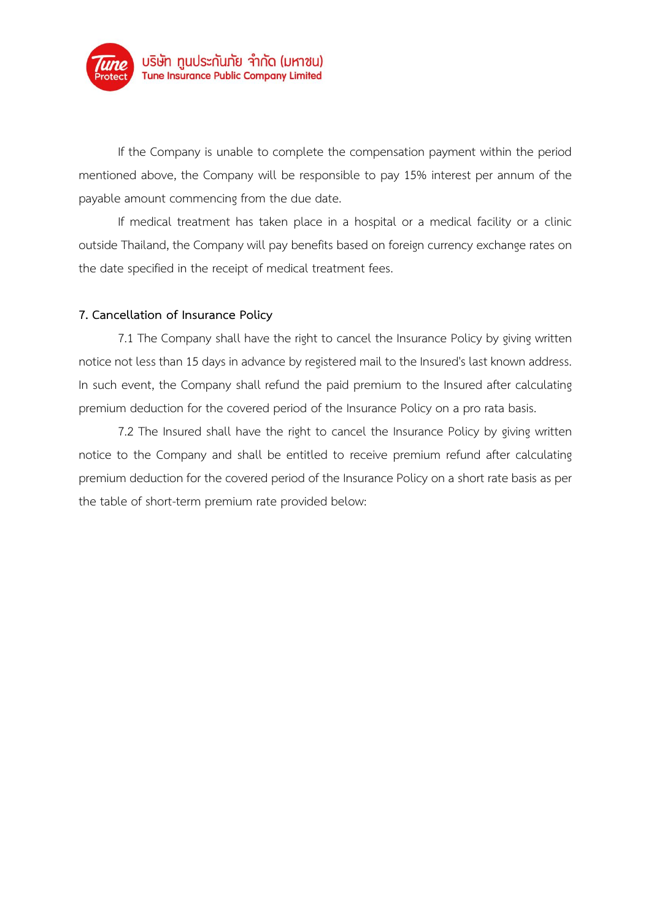

If the Company is unable to complete the compensation payment within the period mentioned above, the Company will be responsible to pay 15% interest per annum of the payable amount commencing from the due date.

If medical treatment has taken place in a hospital or a medical facility or a clinic outside Thailand, the Company will pay benefits based on foreign currency exchange rates on the date specified in the receipt of medical treatment fees.

## **7. Cancellation of Insurance Policy**

7.1 The Company shall have the right to cancel the Insurance Policy by giving written notice not less than 15 days in advance by registered mail to the Insured's last known address. In such event, the Company shall refund the paid premium to the Insured after calculating premium deduction for the covered period of the Insurance Policy on a pro rata basis.

7.2 The Insured shall have the right to cancel the Insurance Policy by giving written notice to the Company and shall be entitled to receive premium refund after calculating premium deduction for the covered period of the Insurance Policy on a short rate basis as per the table of short-term premium rate provided below: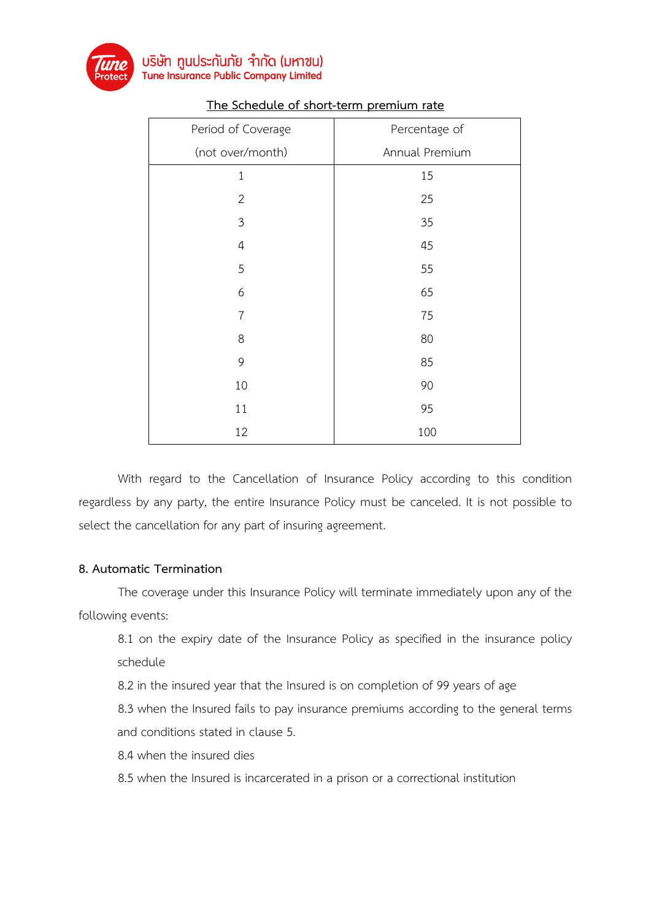

| Period of Coverage | Percentage of  |  |  |  |  |  |
|--------------------|----------------|--|--|--|--|--|
| (not over/month)   | Annual Premium |  |  |  |  |  |
| $\mathbf{1}$       | 15             |  |  |  |  |  |
| $\overline{2}$     | 25             |  |  |  |  |  |
| $\overline{3}$     | 35             |  |  |  |  |  |
| $\overline{4}$     | 45             |  |  |  |  |  |
| 5                  | 55             |  |  |  |  |  |
| 6                  | 65             |  |  |  |  |  |
| $\overline{7}$     | 75             |  |  |  |  |  |
| 8                  | 80             |  |  |  |  |  |
| 9                  | 85             |  |  |  |  |  |
| 10                 | 90             |  |  |  |  |  |
| 11                 | 95             |  |  |  |  |  |
| 12                 | 100            |  |  |  |  |  |

## **The Schedule of short-term premium rate**

With regard to the Cancellation of Insurance Policy according to this condition regardless by any party, the entire Insurance Policy must be canceled. It is not possible to select the cancellation for any part of insuring agreement.

## **8. Automatic Termination**

The coverage under this Insurance Policy will terminate immediately upon any of the following events:

8.1 on the expiry date of the Insurance Policy as specified in the insurance policy schedule

8.2 in the insured year that the Insured is on completion of 99 years of age

8.3 when the Insured fails to pay insurance premiums according to the general terms and conditions stated in clause 5.

8.4 when the insured dies

8.5 when the Insured is incarcerated in a prison or a correctional institution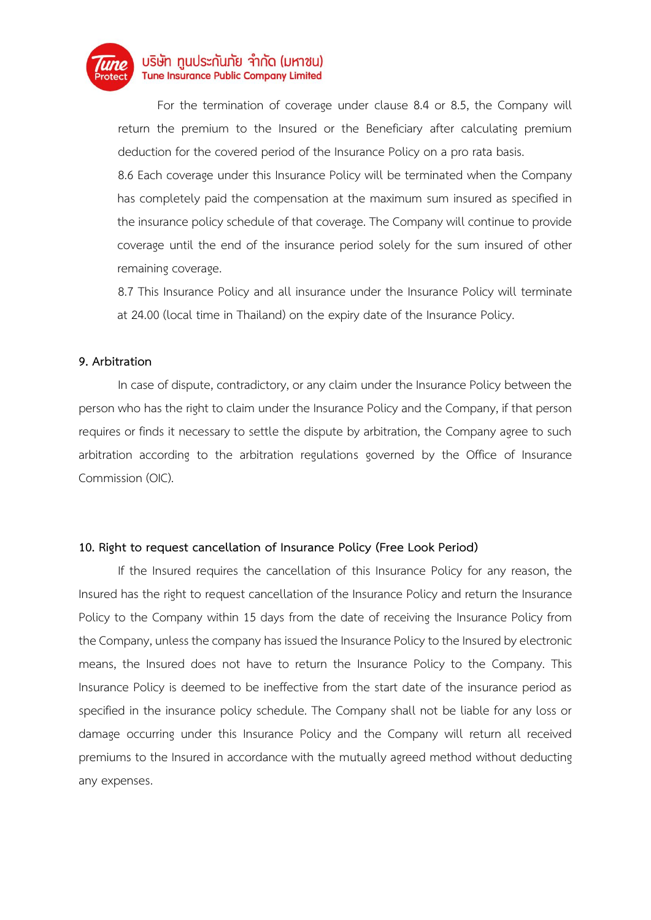

For the termination of coverage under clause 8.4 or 8.5, the Company will return the premium to the Insured or the Beneficiary after calculating premium deduction for the covered period of the Insurance Policy on a pro rata basis.

8.6 Each coverage under this Insurance Policy will be terminated when the Company has completely paid the compensation at the maximum sum insured as specified in the insurance policy schedule of that coverage. The Company will continue to provide coverage until the end of the insurance period solely for the sum insured of other remaining coverage.

8.7 This Insurance Policy and all insurance under the Insurance Policy will terminate at 24.00 (local time in Thailand) on the expiry date of the Insurance Policy.

### **9. Arbitration**

In case of dispute, contradictory, or any claim under the Insurance Policy between the person who has the right to claim under the Insurance Policy and the Company, if that person requires or finds it necessary to settle the dispute by arbitration, the Company agree to such arbitration according to the arbitration regulations governed by the Office of Insurance Commission (OIC).

## **10. Right to request cancellation of Insurance Policy (Free Look Period)**

If the Insured requires the cancellation of this Insurance Policy for any reason, the Insured has the right to request cancellation of the Insurance Policy and return the Insurance Policy to the Company within 15 days from the date of receiving the Insurance Policy from the Company, unless the company has issued the Insurance Policy to the Insured by electronic means, the Insured does not have to return the Insurance Policy to the Company. This Insurance Policy is deemed to be ineffective from the start date of the insurance period as specified in the insurance policy schedule. The Company shall not be liable for any loss or damage occurring under this Insurance Policy and the Company will return all received premiums to the Insured in accordance with the mutually agreed method without deducting any expenses.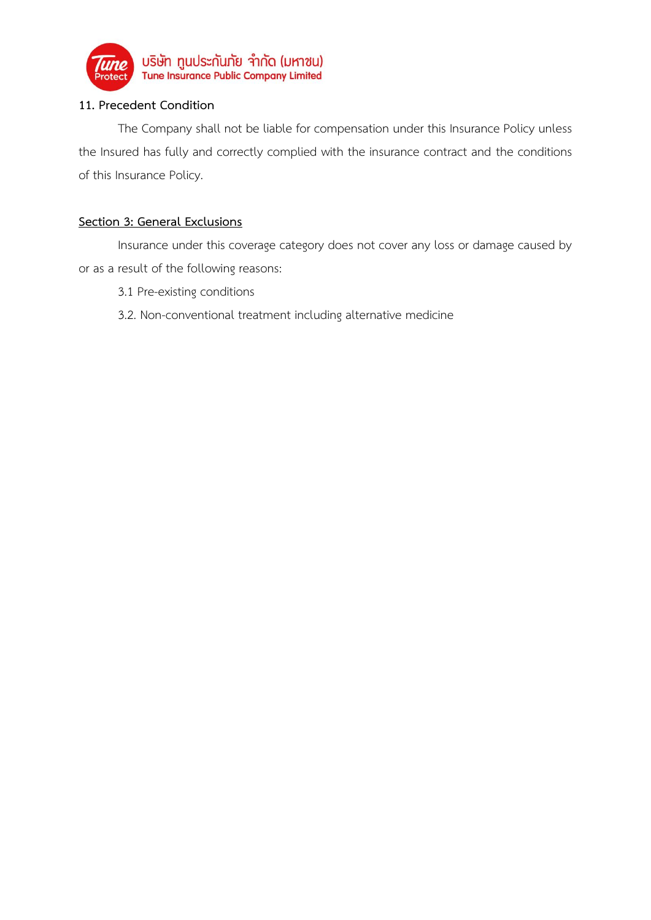

# **11. Precedent Condition**

The Company shall not be liable for compensation under this Insurance Policy unless the Insured has fully and correctly complied with the insurance contract and the conditions of this Insurance Policy.

# **Section 3: General Exclusions**

Insurance under this coverage category does not cover any loss or damage caused by or as a result of the following reasons:

- 3.1 Pre-existing conditions
- 3.2. Non-conventional treatment including alternative medicine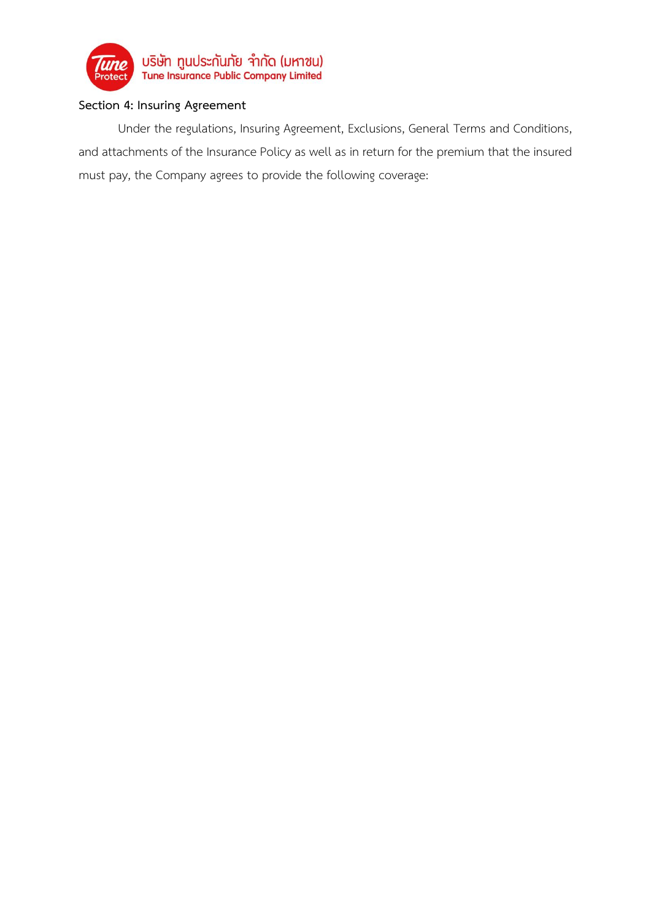

# **Section 4: Insuring Agreement**

Under the regulations, Insuring Agreement, Exclusions, General Terms and Conditions, and attachments of the Insurance Policy as well as in return for the premium that the insured must pay, the Company agrees to provide the following coverage: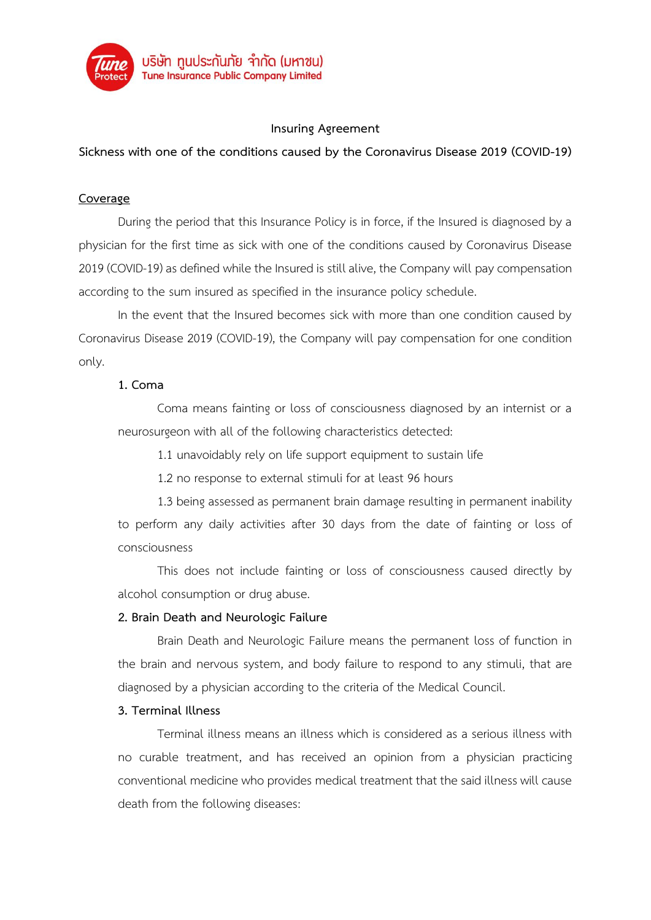

## **Insuring Agreement**

**Sickness with one of the conditions caused by the Coronavirus Disease 2019 (COVID-19)**

### **Coverage**

During the period that this Insurance Policy is in force, if the Insured is diagnosed by a physician for the first time as sick with one of the conditions caused by Coronavirus Disease 2019 (COVID-19) as defined while the Insured is still alive, the Company will pay compensation according to the sum insured as specified in the insurance policy schedule.

In the event that the Insured becomes sick with more than one condition caused by Coronavirus Disease 2019 (COVID-19), the Company will pay compensation for one condition only.

### **1. Coma**

Coma means fainting or loss of consciousness diagnosed by an internist or a neurosurgeon with all of the following characteristics detected:

1.1 unavoidably rely on life support equipment to sustain life

1.2 no response to external stimuli for at least 96 hours

1.3 being assessed as permanent brain damage resulting in permanent inability to perform any daily activities after 30 days from the date of fainting or loss of consciousness

This does not include fainting or loss of consciousness caused directly by alcohol consumption or drug abuse.

## **2. Brain Death and Neurologic Failure**

Brain Death and Neurologic Failure means the permanent loss of function in the brain and nervous system, and body failure to respond to any stimuli, that are diagnosed by a physician according to the criteria of the Medical Council.

#### **3. Terminal Illness**

Terminal illness means an illness which is considered as a serious illness with no curable treatment, and has received an opinion from a physician practicing conventional medicine who provides medical treatment that the said illness will cause death from the following diseases: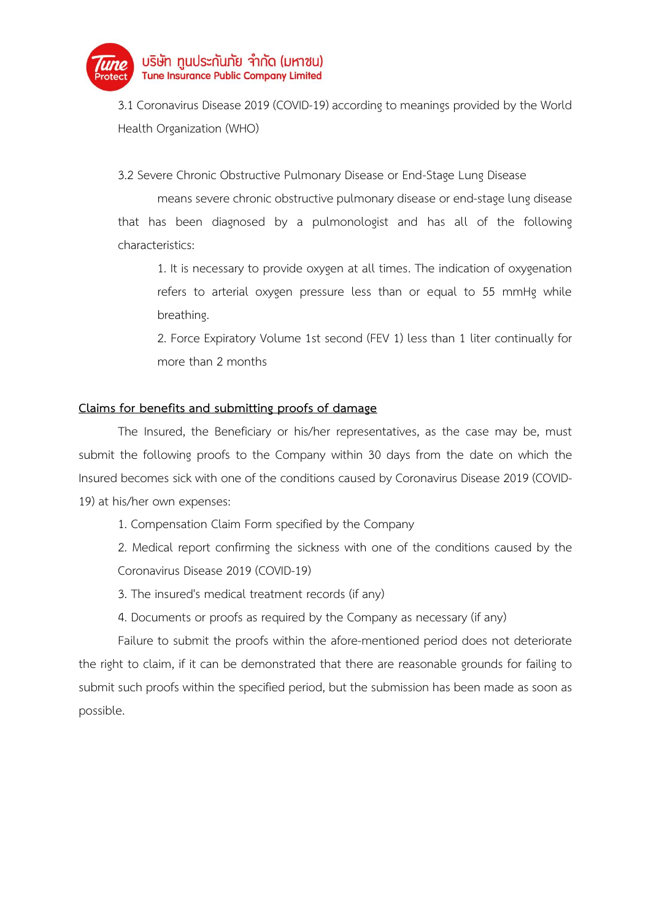

3.1 Coronavirus Disease 2019 (COVID-19) according to meanings provided by the World Health Organization (WHO)

3.2 Severe Chronic Obstructive Pulmonary Disease or End-Stage Lung Disease

means severe chronic obstructive pulmonary disease or end-stage lung disease that has been diagnosed by a pulmonologist and has all of the following characteristics:

1. It is necessary to provide oxygen at all times. The indication of oxygenation refers to arterial oxygen pressure less than or equal to 55 mmHg while breathing.

2. Force Expiratory Volume 1st second (FEV 1) less than 1 liter continually for more than 2 months

# **Claims for benefits and submitting proofs of damage**

The Insured, the Beneficiary or his/her representatives, as the case may be, must submit the following proofs to the Company within 30 days from the date on which the Insured becomes sick with one of the conditions caused by Coronavirus Disease 2019 (COVID-19) at his/her own expenses:

1. Compensation Claim Form specified by the Company

2. Medical report confirming the sickness with one of the conditions caused by the Coronavirus Disease 2019 (COVID-19)

3. The insured's medical treatment records (if any)

4. Documents or proofs as required by the Company as necessary (if any)

Failure to submit the proofs within the afore-mentioned period does not deteriorate the right to claim, if it can be demonstrated that there are reasonable grounds for failing to submit such proofs within the specified period, but the submission has been made as soon as possible.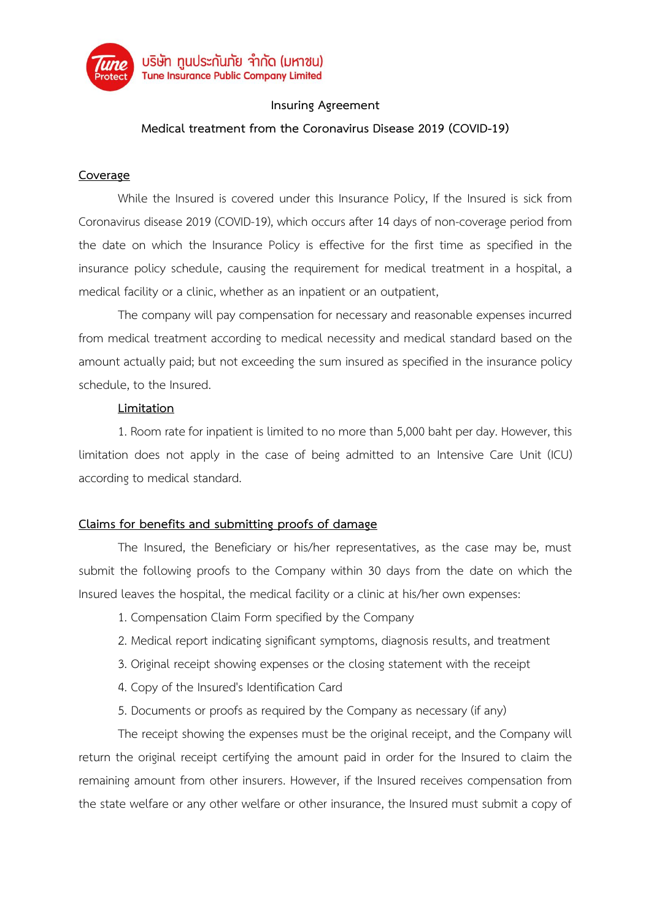

## **Insuring Agreement**

# **Medical treatment from the Coronavirus Disease 2019 (COVID-19)**

## **Coverage**

While the Insured is covered under this Insurance Policy, If the Insured is sick from Coronavirus disease 2019 (COVID-19), which occurs after 14 days of non-coverage period from the date on which the Insurance Policy is effective for the first time as specified in the insurance policy schedule, causing the requirement for medical treatment in a hospital, a medical facility or a clinic, whether as an inpatient or an outpatient,

The company will pay compensation for necessary and reasonable expenses incurred from medical treatment according to medical necessity and medical standard based on the amount actually paid; but not exceeding the sum insured as specified in the insurance policy schedule, to the Insured.

## **Limitation**

1. Room rate for inpatient is limited to no more than 5,000 baht per day. However, this limitation does not apply in the case of being admitted to an Intensive Care Unit (ICU) according to medical standard.

# **Claims for benefits and submitting proofs of damage**

The Insured, the Beneficiary or his/her representatives, as the case may be, must submit the following proofs to the Company within 30 days from the date on which the Insured leaves the hospital, the medical facility or a clinic at his/her own expenses:

- 1. Compensation Claim Form specified by the Company
- 2. Medical report indicating significant symptoms, diagnosis results, and treatment
- 3. Original receipt showing expenses or the closing statement with the receipt
- 4. Copy of the Insured's Identification Card
- 5. Documents or proofs as required by the Company as necessary (if any)

The receipt showing the expenses must be the original receipt, and the Company will return the original receipt certifying the amount paid in order for the Insured to claim the remaining amount from other insurers. However, if the Insured receives compensation from the state welfare or any other welfare or other insurance, the Insured must submit a copy of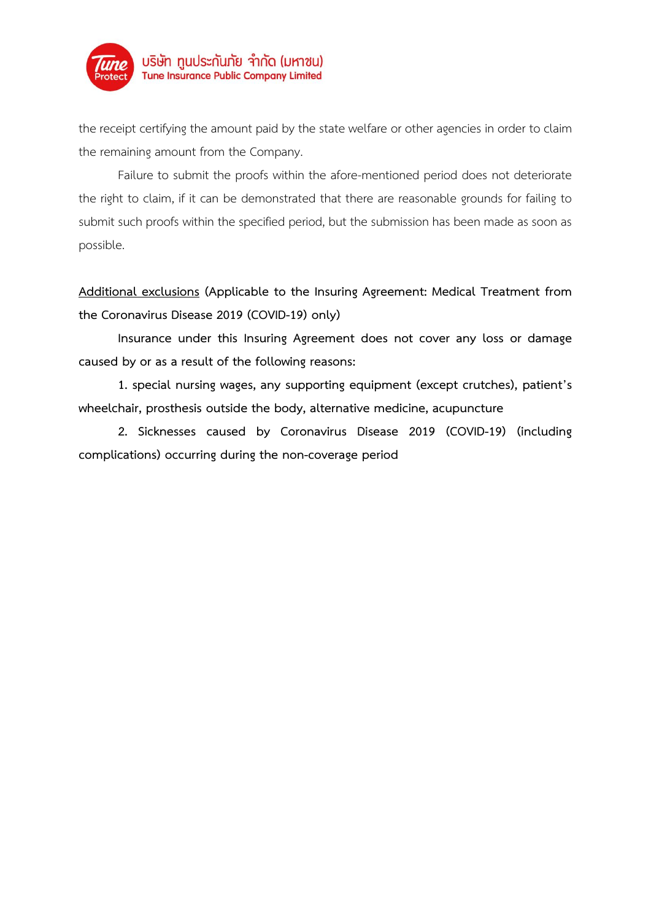

the receipt certifying the amount paid by the state welfare or other agencies in order to claim the remaining amount from the Company.

Failure to submit the proofs within the afore-mentioned period does not deteriorate the right to claim, if it can be demonstrated that there are reasonable grounds for failing to submit such proofs within the specified period, but the submission has been made as soon as possible.

**Additional exclusions (Applicable to the Insuring Agreement: Medical Treatment from the Coronavirus Disease 2019 (COVID-19) only)**

**Insurance under this Insuring Agreement does not cover any loss or damage caused by or as a result of the following reasons:**

**1. special nursing wages, any supporting equipment (except crutches), patient's wheelchair, prosthesis outside the body, alternative medicine, acupuncture**

**2. Sicknesses caused by Coronavirus Disease 2019 (COVID-19) (including complications) occurring during the non-coverage period**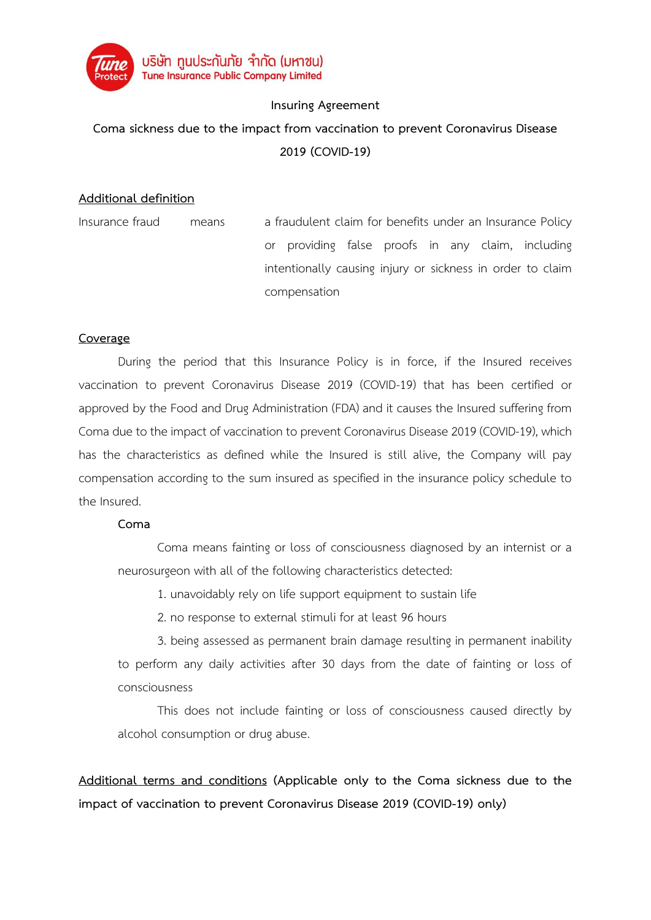

## **Insuring Agreement**

# **Coma sickness due to the impact from vaccination to prevent Coronavirus Disease 2019 (COVID-19)**

## **Additional definition**

| Insurance fraud | means | a fraudulent claim for benefits under an Insurance Policy |              |  |  |  |  |                                                            |
|-----------------|-------|-----------------------------------------------------------|--------------|--|--|--|--|------------------------------------------------------------|
|                 |       |                                                           |              |  |  |  |  | or providing false proofs in any claim, including          |
|                 |       |                                                           |              |  |  |  |  | intentionally causing injury or sickness in order to claim |
|                 |       |                                                           | compensation |  |  |  |  |                                                            |

## **Coverage**

During the period that this Insurance Policy is in force, if the Insured receives vaccination to prevent Coronavirus Disease 2019 (COVID-19) that has been certified or approved by the Food and Drug Administration (FDA) and it causes the Insured suffering from Coma due to the impact of vaccination to prevent Coronavirus Disease 2019 (COVID-19), which has the characteristics as defined while the Insured is still alive, the Company will pay compensation according to the sum insured as specified in the insurance policy schedule to the Insured.

#### **Coma**

Coma means fainting or loss of consciousness diagnosed by an internist or a neurosurgeon with all of the following characteristics detected:

1. unavoidably rely on life support equipment to sustain life

2. no response to external stimuli for at least 96 hours

3. being assessed as permanent brain damage resulting in permanent inability to perform any daily activities after 30 days from the date of fainting or loss of consciousness

This does not include fainting or loss of consciousness caused directly by alcohol consumption or drug abuse.

**Additional terms and conditions (Applicable only to the Coma sickness due to the impact of vaccination to prevent Coronavirus Disease 2019 (COVID-19) only)**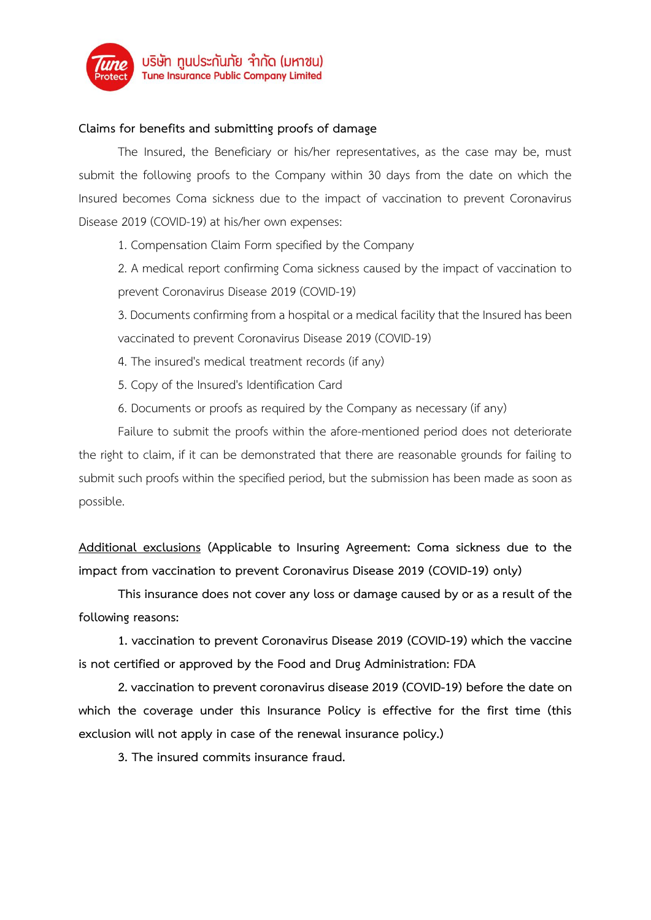

## **Claims for benefits and submitting proofs of damage**

The Insured, the Beneficiary or his/her representatives, as the case may be, must submit the following proofs to the Company within 30 days from the date on which the Insured becomes Coma sickness due to the impact of vaccination to prevent Coronavirus Disease 2019 (COVID-19) at his/her own expenses:

1. Compensation Claim Form specified by the Company

2. A medical report confirming Coma sickness caused by the impact of vaccination to prevent Coronavirus Disease 2019 (COVID-19)

3. Documents confirming from a hospital or a medical facility that the Insured has been vaccinated to prevent Coronavirus Disease 2019 (COVID-19)

- 4. The insured's medical treatment records (if any)
- 5. Copy of the Insured's Identification Card
- 6. Documents or proofs as required by the Company as necessary (if any)

Failure to submit the proofs within the afore-mentioned period does not deteriorate the right to claim, if it can be demonstrated that there are reasonable grounds for failing to submit such proofs within the specified period, but the submission has been made as soon as possible.

**Additional exclusions (Applicable to Insuring Agreement: Coma sickness due to the impact from vaccination to prevent Coronavirus Disease 2019 (COVID-19) only)**

**This insurance does not cover any loss or damage caused by or as a result of the following reasons:**

**1. vaccination to prevent Coronavirus Disease 2019 (COVID-19) which the vaccine is not certified or approved by the Food and Drug Administration: FDA**

**2. vaccination to prevent coronavirus disease 2019 (COVID-19) before the date on which the coverage under this Insurance Policy is effective for the first time (this exclusion will not apply in case of the renewal insurance policy.)**

**3. The insured commits insurance fraud.**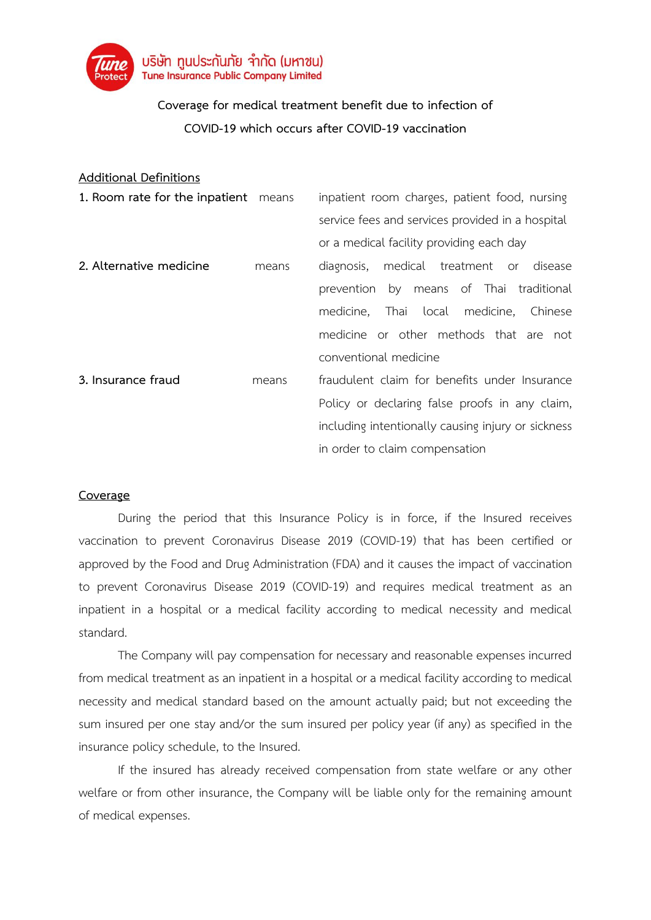

# **Coverage for medical treatment benefit due to infection of COVID-19 which occurs after COVID-19 vaccination**

## **Additional Definitions**

| 1. Room rate for the inpatient means | inpatient room charges, patient food, nursing      |
|--------------------------------------|----------------------------------------------------|
|                                      | service fees and services provided in a hospital   |
|                                      | or a medical facility providing each day           |
| means                                | medical treatment or<br>disease<br>diagnosis,      |
|                                      | prevention by means of Thai traditional            |
|                                      | Thai local<br>medicine,<br>Chinese<br>medicine,    |
|                                      | medicine or other methods that are not             |
|                                      | conventional medicine                              |
| means                                | fraudulent claim for benefits under Insurance      |
|                                      | Policy or declaring false proofs in any claim,     |
|                                      | including intentionally causing injury or sickness |
|                                      | in order to claim compensation                     |
|                                      |                                                    |

#### **Coverage**

During the period that this Insurance Policy is in force, if the Insured receives vaccination to prevent Coronavirus Disease 2019 (COVID-19) that has been certified or approved by the Food and Drug Administration (FDA) and it causes the impact of vaccination to prevent Coronavirus Disease 2019 (COVID-19) and requires medical treatment as an inpatient in a hospital or a medical facility according to medical necessity and medical standard.

The Company will pay compensation for necessary and reasonable expenses incurred from medical treatment as an inpatient in a hospital or a medical facility according to medical necessity and medical standard based on the amount actually paid; but not exceeding the sum insured per one stay and/or the sum insured per policy year (if any) as specified in the insurance policy schedule, to the Insured.

If the insured has already received compensation from state welfare or any other welfare or from other insurance, the Company will be liable only for the remaining amount of medical expenses.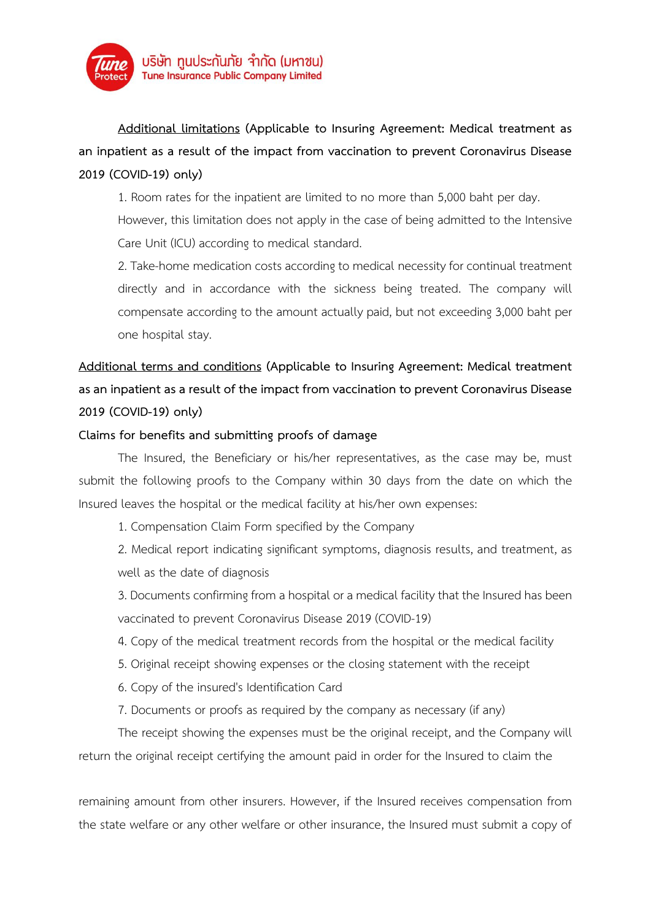

**Additional limitations (Applicable to Insuring Agreement: Medical treatment as an inpatient as a result of the impact from vaccination to prevent Coronavirus Disease 2019 (COVID-19) only)**

1. Room rates for the inpatient are limited to no more than 5,000 baht per day.

However, this limitation does not apply in the case of being admitted to the Intensive Care Unit (ICU) according to medical standard.

2. Take-home medication costs according to medical necessity for continual treatment directly and in accordance with the sickness being treated. The company will compensate according to the amount actually paid, but not exceeding 3,000 baht per one hospital stay.

# **Additional terms and conditions (Applicable to Insuring Agreement: Medical treatment as an inpatient as a result of the impact from vaccination to prevent Coronavirus Disease 2019 (COVID-19) only)**

## **Claims for benefits and submitting proofs of damage**

The Insured, the Beneficiary or his/her representatives, as the case may be, must submit the following proofs to the Company within 30 days from the date on which the Insured leaves the hospital or the medical facility at his/her own expenses:

1. Compensation Claim Form specified by the Company

2. Medical report indicating significant symptoms, diagnosis results, and treatment, as well as the date of diagnosis

3. Documents confirming from ahospital or a medical facility that the Insured has been vaccinated to prevent Coronavirus Disease 2019 (COVID-19)

- 4. Copy of the medical treatment records from the hospital or the medical facility
- 5. Original receipt showing expenses or the closing statement with the receipt
- 6. Copy of the insured's Identification Card
- 7. Documents or proofs as required by the company as necessary (if any)

The receipt showing the expenses must be the original receipt, and the Company will return the original receipt certifying the amount paid in order for the Insured to claim the

remaining amount from other insurers. However, if the Insured receives compensation from the state welfare or any other welfare or other insurance, the Insured must submit a copy of